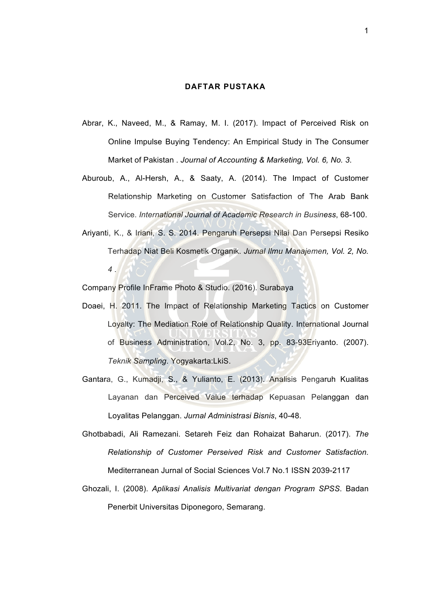## **DAFTAR PUSTAKA**

- Abrar, K., Naveed, M., & Ramay, M. I. (2017). Impact of Perceived Risk on Online Impulse Buying Tendency: An Empirical Study in The Consumer Market of Pakistan . *Journal of Accounting & Marketing, Vol. 6, No. 3*.
- Aburoub, A., Al-Hersh, A., & Saaty, A. (2014). The Impact of Customer Relationship Marketing on Customer Satisfaction of The Arab Bank Service. *International Journal of Academic Research in Business*, 68-100.
- Ariyanti, K., & Iriani, S. S. 2014. Pengaruh Persepsi Nilai Dan Persepsi Resiko Terhadap Niat Beli Kosmetik Organik. *Jurnal Ilmu Manajemen, Vol. 2, No. 4* .

Company Profile InFrame Photo & Studio. (2016). Surabaya

- Doaei, H. 2011. The Impact of Relationship Marketing Tactics on Customer Loyalty: The Mediation Role of Relationship Quality. International Journal of Business Administration, Vol.2, No. 3, pp. 83-93Eriyanto. (2007). *Teknik Sampling*. Yogyakarta:LkiS.
- Gantara, G., Kumadji, S., & Yulianto, E. (2013). Analisis Pengaruh Kualitas Layanan dan Perceived Value terhadap Kepuasan Pelanggan dan Loyalitas Pelanggan. *Jurnal Administrasi Bisnis*, 40-48.
- Ghotbabadi, Ali Ramezani. Setareh Feiz dan Rohaizat Baharun. (2017). *The Relationship of Customer Perseived Risk and Customer Satisfaction.*  Mediterranean Jurnal of Social Sciences Vol.7 No.1 ISSN 2039-2117
- Ghozali, I. (2008). *Aplikasi Analisis Multivariat dengan Program SPSS*. Badan Penerbit Universitas Diponegoro, Semarang.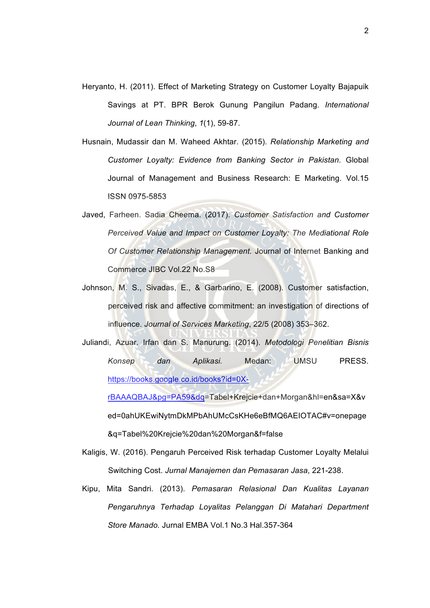- Heryanto, H. (2011). Effect of Marketing Strategy on Customer Loyalty Bajapuik Savings at PT. BPR Berok Gunung Pangilun Padang. *International Journal of Lean Thinking*, *1*(1), 59-87.
- Husnain, Mudassir dan M. Waheed Akhtar. (2015). *Relationship Marketing and Customer Loyalty: Evidence from Banking Sector in Pakistan.* Global Journal of Management and Business Research: E Marketing. Vol.15 ISSN 0975-5853
- Javed, Farheen. Sadia Cheema. (2017). *Customer Satisfaction and Customer Perceived Value and Impact on Customer Loyalty: The Mediational Role Of Customer Relationship Management.* Journal of Internet Banking and Commerce JIBC Vol.22 No.S8
- Johnson, M. S., Sivadas, E., & Garbarino, E. (2008). Customer satisfaction, perceived risk and affective commitment: an investigation of directions of influence. *Journal of Services Marketing*, 22/5 (2008) 353–362.
- Juliandi, Azuar. Irfan dan S. Manurung. (2014). *Metodologi Penelitian Bisnis Konsep dan Aplikasi.* Medan: UMSU PRESS. https://books.google.co.id/books?id=0X-

rBAAAQBAJ&pg=PA59&dq=Tabel+Krejcie+dan+Morgan&hl=en&sa=X&v ed=0ahUKEwiNytmDkMPbAhUMcCsKHe6eBfMQ6AEIOTAC#v=onepage &q=Tabel%20Krejcie%20dan%20Morgan&f=false

- Kaligis, W. (2016). Pengaruh Perceived Risk terhadap Customer Loyalty Melalui Switching Cost. *Jurnal Manajemen dan Pemasaran Jasa*, 221-238.
- Kipu, Mita Sandri. (2013). *Pemasaran Relasional Dan Kualitas Layanan Pengaruhnya Terhadap Loyalitas Pelanggan Di Matahari Department Store Manado.* Jurnal EMBA Vol.1 No.3 Hal.357-364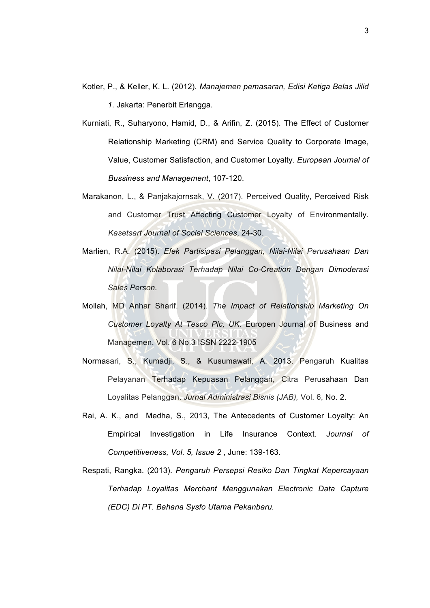- Kotler, P., & Keller, K. L. (2012). *Manajemen pemasaran, Edisi Ketiga Belas Jilid 1*. Jakarta: Penerbit Erlangga.
- Kurniati, R., Suharyono, Hamid, D., & Arifin, Z. (2015). The Effect of Customer Relationship Marketing (CRM) and Service Quality to Corporate Image, Value, Customer Satisfaction, and Customer Loyalty. *European Journal of Bussiness and Management*, 107-120.
- Marakanon, L., & Panjakajornsak, V. (2017). Perceived Quality, Perceived Risk and Customer Trust Affecting Customer Loyalty of Environmentally. *Kasetsart Journal of Social Sciences*, 24-30.
- Marlien, R.A. (2015). *Efek Partisipasi Pelanggan, Nilai-Nilai Perusahaan Dan Nilai-Nilai Kolaborasi Terhadap Nilai Co-Creation Dengan Dimoderasi Sales Person.*
- Mollah, MD Anhar Sharif. (2014). *The Impact of Relationship Marketing On Customer Loyalty At Tesco Plc, UK.* Europen Journal of Business and Managemen. Vol. 6 No.3 ISSN 2222-1905
- Normasari, S., Kumadji, S., & Kusumawati, A. 2013. Pengaruh Kualitas Pelayanan Terhadap Kepuasan Pelanggan, Citra Perusahaan Dan Loyalitas Pelanggan. *Jurnal Administrasi Bisnis (JAB),* Vol. 6, No. 2.
- Rai, A. K., and Medha, S., 2013, The Antecedents of Customer Loyalty: An Empirical Investigation in Life Insurance Context. *Journal of Competitiveness, Vol. 5, Issue 2* , June: 139-163.
- Respati, Rangka. (2013). *Pengaruh Persepsi Resiko Dan Tingkat Kepercayaan Terhadap Loyalitas Merchant Menggunakan Electronic Data Capture (EDC) Di PT. Bahana Sysfo Utama Pekanbaru.*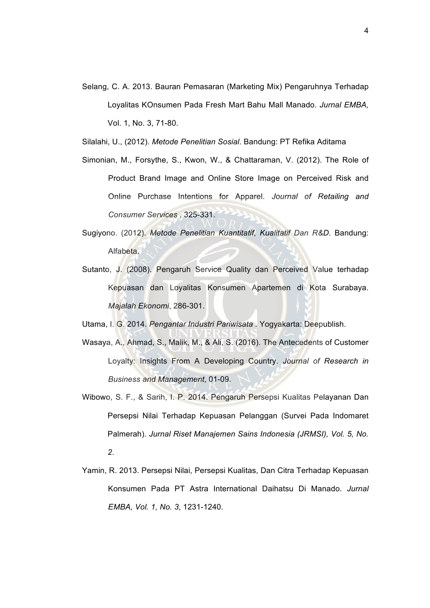Selang, C. A. 2013. Bauran Pemasaran (Marketing Mix) Pengaruhnya Terhadap Loyalitas KOnsumen Pada Fresh Mart Bahu Mall Manado. *Jurnal EMBA,*  Vol. 1, No. 3, 71-80.

Silalahi, U., (2012). *Metode Penelitian Sosial*. Bandung: PT Refika Aditama

- Simonian, M., Forsythe, S., Kwon, W., & Chattaraman, V. (2012). The Role of Product Brand Image and Online Store Image on Perceived Risk and Online Purchase Intentions for Apparel. *Journal of Retailing and Consumer Services* , 325-331.
- Sugiyono. (2012). *Metode Penelitian Kuantitatif, Kualitatif Dan R&D.* Bandung: Alfabeta.
- Sutanto, J. (2008). Pengaruh Service Quality dan Perceived Value terhadap Kepuasan dan Loyalitas Konsumen Apartemen di Kota Surabaya. *Majalah Ekonomi*, 286-301.
- Utama, I. G. 2014. *Pengantar Industri Pariwisata .* Yogyakarta: Deepublish.
- Wasaya, A., Ahmad, S., Malik, M., & Ali, S. (2016). The Antecedents of Customer Loyalty: Insights From A Developing Country. *Journal of Research in Business and Management*, 01-09.
- Wibowo, S. F., & Sarih, I. P. 2014. Pengaruh Persepsi Kualitas Pelayanan Dan Persepsi Nilai Terhadap Kepuasan Pelanggan (Survei Pada Indomaret Palmerah). *Jurnal Riset Manajemen Sains Indonesia (JRMSI), Vol. 5, No. 2*.
- Yamin, R. 2013. Persepsi Nilai, Persepsi Kualitas, Dan Citra Terhadap Kepuasan Konsumen Pada PT Astra International Daihatsu Di Manado. *Jurnal EMBA, Vol. 1, No. 3*, 1231-1240.